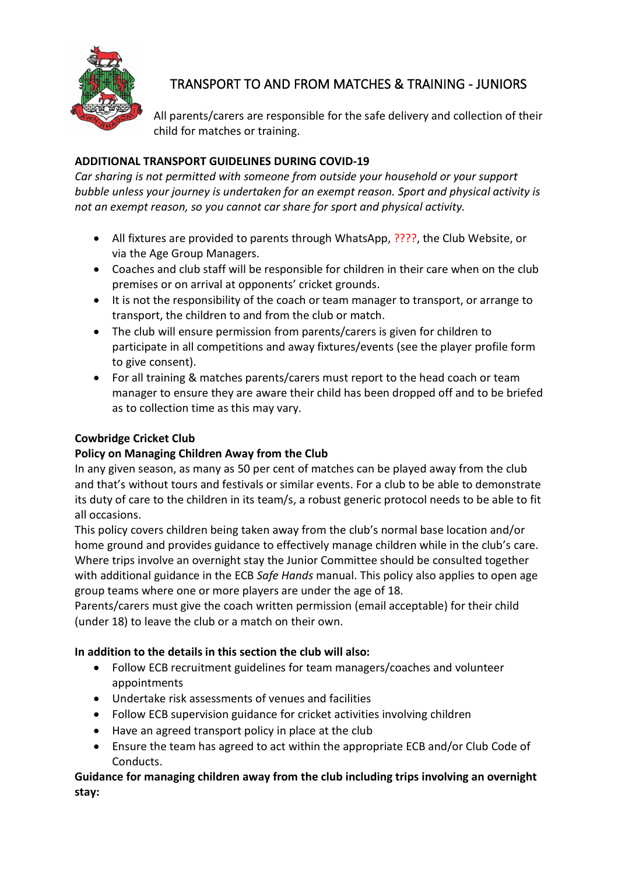

# TRANSPORT TO AND FROM MATCHES & TRAINING - JUNIORS

All parents/carers are responsible for the safe delivery and collection of their child for matches or training.

## **ADDITIONAL TRANSPORT GUIDELINES DURING COVID-19**

*Car sharing is not permitted with someone from outside your household or your support bubble unless your journey is undertaken for an exempt reason. Sport and physical activity is not an exempt reason, so you cannot car share for sport and physical activity.*

- All fixtures are provided to parents through WhatsApp, ????, the Club Website, or via the Age Group Managers.
- Coaches and club staff will be responsible for children in their care when on the club premises or on arrival at opponents' cricket grounds.
- It is not the responsibility of the coach or team manager to transport, or arrange to transport, the children to and from the club or match.
- The club will ensure permission from parents/carers is given for children to participate in all competitions and away fixtures/events (see the player profile form to give consent).
- For all training & matches parents/carers must report to the head coach or team manager to ensure they are aware their child has been dropped off and to be briefed as to collection time as this may vary.

### **Cowbridge Cricket Club**

### **Policy on Managing Children Away from the Club**

In any given season, as many as 50 per cent of matches can be played away from the club and that's without tours and festivals or similar events. For a club to be able to demonstrate its duty of care to the children in its team/s, a robust generic protocol needs to be able to fit all occasions.

This policy covers children being taken away from the club's normal base location and/or home ground and provides guidance to effectively manage children while in the club's care. Where trips involve an overnight stay the Junior Committee should be consulted together with additional guidance in the ECB *Safe Hands* manual. This policy also applies to open age group teams where one or more players are under the age of 18.

Parents/carers must give the coach written permission (email acceptable) for their child (under 18) to leave the club or a match on their own.

### **In addition to the details in this section the club will also:**

- Follow ECB recruitment guidelines for team managers/coaches and volunteer appointments
- Undertake risk assessments of venues and facilities
- Follow ECB supervision guidance for cricket activities involving children
- Have an agreed transport policy in place at the club
- Ensure the team has agreed to act within the appropriate ECB and/or Club Code of Conducts.

**Guidance for managing children away from the club including trips involving an overnight stay:**